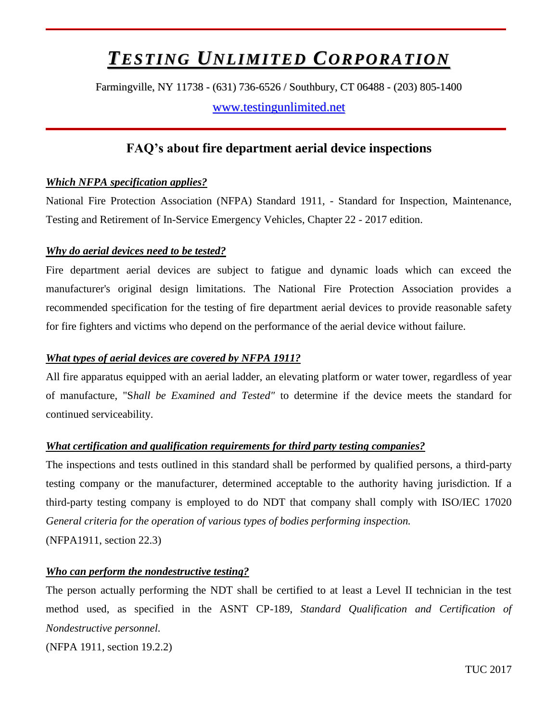# *TESTING UNLIMITED CORPORATION*

Farmingville, NY 11738 - (631) 736-6526 / Southbury, CT 06488 - (203) 805-1400 [www.testingunlimited.net](http://www.testingunlimited.net/)

# **FAQ's about fire department aerial device inspections**

### *Which NFPA specification applies?*

National Fire Protection Association (NFPA) Standard 1911, - Standard for Inspection, Maintenance, Testing and Retirement of In-Service Emergency Vehicles, Chapter 22 - 2017 edition.

### *Why do aerial devices need to be tested?*

Fire department aerial devices are subject to fatigue and dynamic loads which can exceed the manufacturer's original design limitations. The National Fire Protection Association provides a recommended specification for the testing of fire department aerial devices to provide reasonable safety for fire fighters and victims who depend on the performance of the aerial device without failure.

### *What types of aerial devices are covered by NFPA 1911?*

All fire apparatus equipped with an aerial ladder, an elevating platform or water tower, regardless of year of manufacture, "S*hall be Examined and Tested"* to determine if the device meets the standard for continued serviceability.

## *What certification and qualification requirements for third party testing companies?*

The inspections and tests outlined in this standard shall be performed by qualified persons, a third-party testing company or the manufacturer, determined acceptable to the authority having jurisdiction. If a third-party testing company is employed to do NDT that company shall comply with ISO/IEC 17020 *General criteria for the operation of various types of bodies performing inspection.* (NFPA1911, section 22.3)

#### *Who can perform the nondestructive testing?*

The person actually performing the NDT shall be certified to at least a Level II technician in the test method used, as specified in the ASNT CP-189, *Standard Qualification and Certification of Nondestructive personnel.*

(NFPA 1911, section 19.2.2)